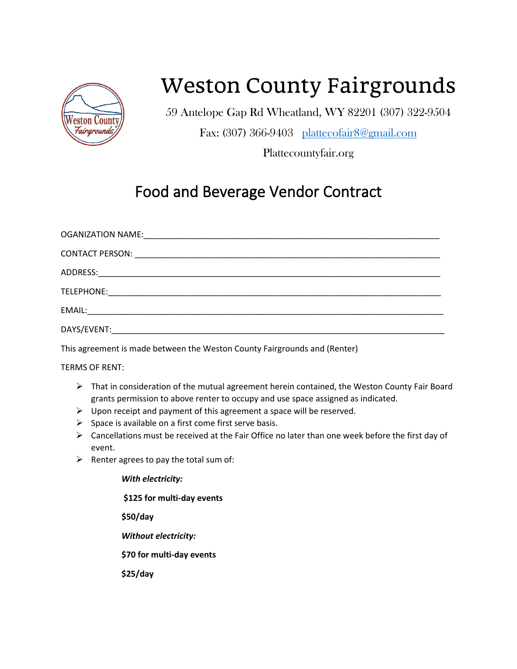

## Weston County Fairgrounds

59 Antelope Gap Rd Wheatland, WY 82201 (307) 322-9504

Fax: (307) 366-9403 [plattecofair8@gmail.com](mailto:plattecofair8@gmail.com)

Plattecountyfair.org

## Food and Beverage Vendor Contract

| DAYS/EVENT: |  |
|-------------|--|

This agreement is made between the Weston County Fairgrounds and (Renter)

TERMS OF RENT:

- $\triangleright$  That in consideration of the mutual agreement herein contained, the Weston County Fair Board grants permission to above renter to occupy and use space assigned as indicated.
- $\triangleright$  Upon receipt and payment of this agreement a space will be reserved.
- $\triangleright$  Space is available on a first come first serve basis.
- $\triangleright$  Cancellations must be received at the Fair Office no later than one week before the first day of event.
- $\triangleright$  Renter agrees to pay the total sum of:

*With electricity:*  **\$125 for multi-day events \$50/day**  *Without electricity:*  **\$70 for multi-day events \$25/day**